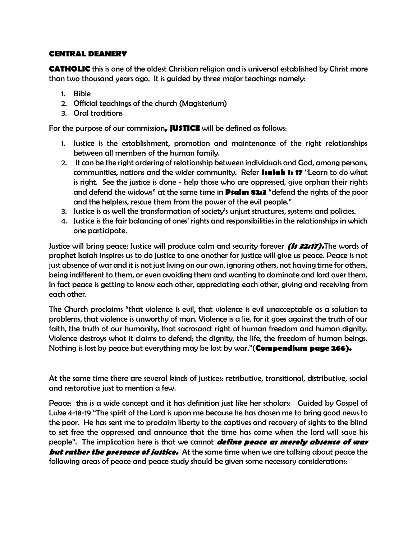#### **CENTRAL DEANERY**

**CATHOLIC** this is one of the oldest Christian religion and is universal established by Christ more than two thousand years ago. It is guided by three major teachings namely:

- 1. Bible
- 2. Official teachings of the church (Magisterium)
- 3. Oral traditions

For the purpose of our commission**, JUSTICE** will be defined as follows:

- 1. Justice is the establishment, promotion and maintenance of the right relationships between all members of the human family.
- 2. It can be the right ordering of relationship between individuals and God, among persons, communities, nations and the wider community. Refer **Isaiah 1: 17** "Learn to do what is right. See the justice is done - help those who are oppressed, give orphan their rights and defend the widows" at the same time in **Psalm 82:3** "defend the rights of the poor and the helpless, rescue them from the power of the evil people."
- 3. Justice is as well the transformation of society's unjust structures, systems and policies.
- 4. Justice is the fair balancing of ones' rights and responsibilities in the relationships in which one participate.

Justice will bring peace; Justice will produce calm and security forever **(Is 32:17).**The words of prophet Isaiah inspires us to do justice to one another for justice will give us peace. Peace is not just absence of war and it is not just living on our own, ignoring others, not having time for others, being indifferent to them, or even avoiding them and wanting to dominate and lord over them. In fact peace is getting to know each other, appreciating each other, giving and receiving from each other.

The Church proclaims "that violence is evil, that violence is evil unacceptable as a solution to problems, that violence is unworthy of man. Violence is a lie, for it goes against the truth of our faith, the truth of our humanity, that sacrosanct right of human freedom and human dignity. Violence destroys what it claims to defend; the dignity, the life, the freedom of human beings. Nothing is lost by peace but everything may be lost by war."(**Compendium page 266).**

At the same time there are several kinds of justices: retributive, transitional, distributive, social and restorative just to mention a few.

Peace: this is a wide concept and it has definition just like her scholars: Guided by Gospel of Luke 4-18-19 "The spirit of the Lord is upon me because he has chosen me to bring good news to the poor. He has sent me to proclaim liberty to the captives and recovery of sights to the blind to set free the oppressed and announce that the time has come when the lord will save his people". The implication here is that we cannot **define peace as merely absence of war but rather the presence of justice.** At the same time when we are talking about peace the following areas of peace and peace study should be given some necessary considerations: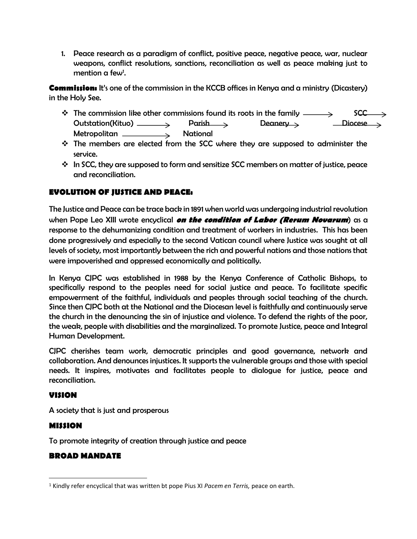1. Peace research as a paradigm of conflict, positive peace, negative peace, war, nuclear weapons, conflict resolutions, sanctions, reconciliation as well as peace making just to mention a few<sup>1</sup>.

**Commission:** It's one of the commission in the KCCB offices in Kenya and a ministry (Dicastery) in the Holy See.

- The commission like other commissions found its roots in the family  $\longrightarrow$  SCC  $Outstation(Kituo) \n\begin{array}{ccc}\n & & \text{Parish} \\
& & \text{Deanery}\n\end{array}$ Metropolitan National
- $\div$  The members are elected from the SCC where they are supposed to administer the service.
- $\mathbf{\hat{P}}$  In SCC, they are supposed to form and sensitize SCC members on matter of justice, peace and reconciliation.

# **EVOLUTION OF JUSTICE AND PEACE:**

The Justice and Peace can be trace back in 1891 when world was undergoing industrial revolution when Pope Leo XIII wrote encyclical **on the condition of Labor (Rerum Novarum**) as a response to the dehumanizing condition and treatment of workers in industries. This has been done progressively and especially to the second Vatican council where Justice was sought at all levels of society, most importantly between the rich and powerful nations and those nations that were impoverished and oppressed economically and politically.

In Kenya CJPC was established in 1988 by the Kenya Conference of Catholic Bishops, to specifically respond to the peoples need for social justice and peace. To facilitate specific empowerment of the faithful, individuals and peoples through social teaching of the church. Since then CJPC both at the National and the Diocesan level is faithfully and continuously serve the church in the denouncing the sin of injustice and violence. To defend the rights of the poor, the weak, people with disabilities and the marginalized. To promote Justice, peace and Integral Human Development.

CJPC cherishes team work, democratic principles and good governance, network and collaboration. And denounces injustices. It supports the vulnerable groups and those with special needs. It inspires, motivates and facilitates people to dialogue for justice, peace and reconciliation.

### **VISION**

A society that is just and prosperous

## **MISSION**

To promote integrity of creation through justice and peace

### **BROAD MANDATE**

<sup>1</sup> Kindly refer encyclical that was written bt pope Pius XI *Pacem en Terris,* peace on earth.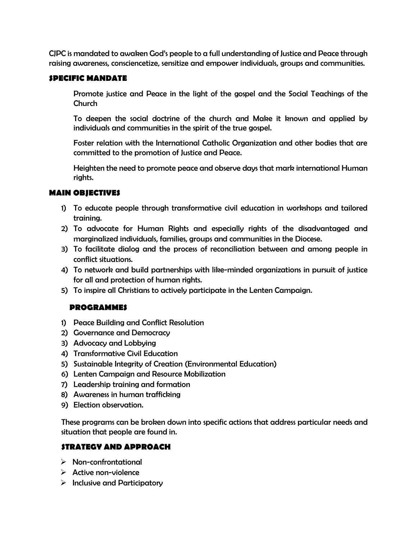CJPC is mandated to awaken God's people to a full understanding of Justice and Peace through raising awareness, consciencetize, sensitize and empower individuals, groups and communities.

#### **SPECIFIC MANDATE**

Promote justice and Peace in the light of the gospel and the Social Teachings of the Church

To deepen the social doctrine of the church and Make it known and applied by individuals and communities in the spirit of the true gospel.

Foster relation with the International Catholic Organization and other bodies that are committed to the promotion of Justice and Peace.

Heighten the need to promote peace and observe days that mark international Human rights.

### **MAIN OBJECTIVES**

- 1) To educate people through transformative civil education in workshops and tailored training.
- 2) To advocate for Human Rights and especially rights of the disadvantaged and marginalized individuals, families, groups and communities in the Diocese.
- 3) To facilitate dialog and the process of reconciliation between and among people in conflict situations.
- 4) To network and build partnerships with like-minded organizations in pursuit of justice for all and protection of human rights.
- 5) To inspire all Christians to actively participate in the Lenten Campaign.

### **PROGRAMMES**

- 1) Peace Building and Conflict Resolution
- 2) Governance and Democracy
- 3) Advocacy and Lobbying
- 4) Transformative Civil Education
- 5) Sustainable Integrity of Creation (Environmental Education)
- 6) Lenten Campaign and Resource Mobilization
- 7) Leadership training and formation
- 8) Awareness in human trafficking
- 9) Election observation.

These programs can be broken down into specific actions that address particular needs and situation that people are found in.

### **STRATEGY AND APPROACH**

- ➢ Non-confrontational
- ➢ Active non-violence
- $\triangleright$  Inclusive and Participatory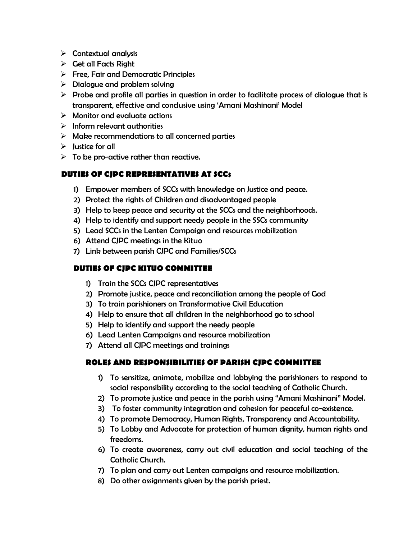- $\triangleright$  Contextual analysis
- $\triangleright$  Get all Facts Right
- $\triangleright$  Free, Fair and Democratic Principles
- $\triangleright$  Dialogue and problem solving
- $\triangleright$  Probe and profile all parties in question in order to facilitate process of dialogue that is transparent, effective and conclusive using 'Amani Mashinani' Model
- $\triangleright$  Monitor and evaluate actions
- $\triangleright$  Inform relevant authorities
- $\triangleright$  Make recommendations to all concerned parties
- $\triangleright$  Justice for all
- $\triangleright$  To be pro-active rather than reactive.

# **DUTIES OF CJPC REPRESENTATIVES AT SCCs**

- 1) Empower members of SCCs with knowledge on Justice and peace.
- 2) Protect the rights of Children and disadvantaged people
- 3) Help to keep peace and security at the SCCs and the neighborhoods.
- 4) Help to identify and support needy people in the SSCs community
- 5) Lead SCCs in the Lenten Campaign and resources mobilization
- 6) Attend CJPC meetings in the Kituo
- 7) Link between parish CJPC and Families/SCCs

# **DUTIES OF CJPC KITUO COMMITTEE**

- 1) Train the SCCs CJPC representatives
- 2) Promote justice, peace and reconciliation among the people of God
- 3) To train parishioners on Transformative Civil Education
- 4) Help to ensure that all children in the neighborhood go to school
- 5) Help to identify and support the needy people
- 6) Lead Lenten Campaigns and resource mobilization
- 7) Attend all CJPC meetings and trainings

## **ROLES AND RESPONSIBILITIES OF PARISH CJPC COMMITTEE**

- 1) To sensitize, animate, mobilize and lobbying the parishioners to respond to social responsibility according to the social teaching of Catholic Church.
- 2) To promote justice and peace in the parish using "Amani Mashinani" Model.
- 3) To foster community integration and cohesion for peaceful co-existence.
- 4) To promote Democracy, Human Rights, Transparency and Accountability.
- 5) To Lobby and Advocate for protection of human dignity, human rights and freedoms.
- 6) To create awareness, carry out civil education and social teaching of the Catholic Church.
- 7) To plan and carry out Lenten campaigns and resource mobilization.
- 8) Do other assignments given by the parish priest.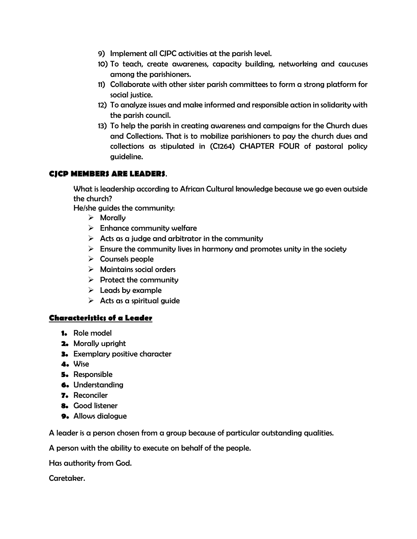- 9) Implement all CJPC activities at the parish level.
- 10) To teach, create awareness, capacity building, networking and caucuses among the parishioners.
- 11) Collaborate with other sister parish committees to form a strong platform for social justice.
- 12) To analyze issues and make informed and responsible action in solidarity with the parish council.
- 13) To help the parish in creating awareness and campaigns for the Church dues and Collections. That is to mobilize parishioners to pay the church dues and collections as stipulated in (C1264) CHAPTER FOUR of pastoral policy guideline.

### **CJCP MEMBERS ARE LEADERS**.

What is leadership according to African Cultural knowledge because we go even outside the church?

He/she guides the community:

- ➢ Morally
- $\triangleright$  Enhance community welfare
- $\triangleright$  Acts as a judge and arbitrator in the community
- $\triangleright$  Ensure the community lives in harmony and promotes unity in the society
- $\triangleright$  Counsels people
- ➢ Maintains social orders
- $\triangleright$  Protect the community
- $\triangleright$  Leads by example
- $\triangleright$  Acts as a spiritual guide

### **Characteristics of a Leader**

- **1.** Role model
- **2.** Morally upright
- **3.** Exemplary positive character
- **4.** Wise
- **5.** Responsible
- **6.** Understanding
- **7.** Reconciler
- **8.** Good listener
- **9.** Allows dialogue

A leader is a person chosen from a group because of particular outstanding qualities.

A person with the ability to execute on behalf of the people.

Has authority from God.

Caretaker.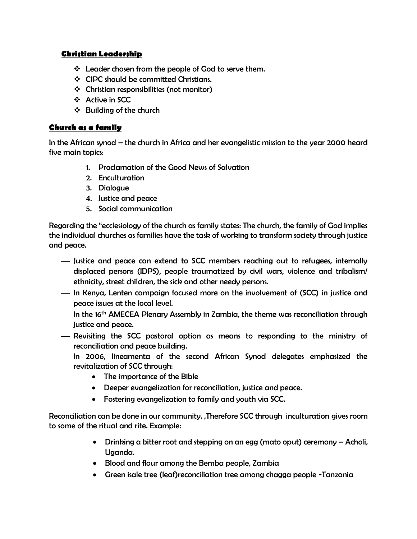### **Christian Leadership**

- ❖ Leader chosen from the people of God to serve them.
- ❖ CJPC should be committed Christians.
- ❖ Christian responsibilities (not monitor)
- ❖ Active in SCC
- ❖ Building of the church

### **Church as a family**

In the African synod – the church in Africa and her evangelistic mission to the year 2000 heard five main topics:

- 1. Proclamation of the Good News of Salvation
- 2. Enculturation
- 3. Dialogue
- 4. Justice and peace
- 5. Social communication

Regarding the "ecclesiology of the church as family states: The church, the family of God implies the individual churches as families have the task of working to transform society through justice and peace.

- ⎯ Justice and peace can extend to SCC members reaching out to refugees, internally displaced persons (IDPS), people traumatized by civil wars, violence and tribalism/ ethnicity, street children, the sick and other needy persons.
- ⎯ In Kenya, Lenten campaign focused more on the involvement of (SCC) in justice and peace issues at the local level.
- $-$  In the 16<sup>th</sup> AMECEA Plenary Assembly in Zambia, the theme was reconciliation through justice and peace.
- ⎯ Revisiting the SCC pastoral option as means to responding to the ministry of reconciliation and peace building.

In 2006, lineamenta of the second African Synod delegates emphasized the revitalization of SCC through:

- The importance of the Bible
- Deeper evangelization for reconciliation, justice and peace.
- Fostering evangelization to family and youth via SCC.

Reconciliation can be done in our community. ,Therefore SCC through inculturation gives room to some of the ritual and rite. Example:

- Drinking a bitter root and stepping on an egg (mato oput) ceremony Acholi, Uganda.
- Blood and flour among the Bemba people, Zambia
- Green isale tree (leaf)reconciliation tree among chagga people -Tanzania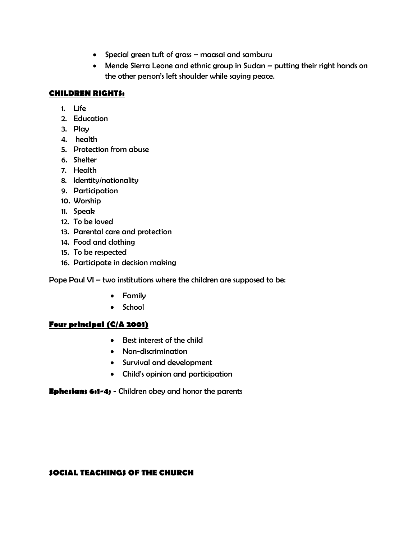- Special green tuft of grass maasai and samburu
- Mende Sierra Leone and ethnic group in Sudan putting their right hands on the other person's left shoulder while saying peace.

### **CHILDREN RIGHTS:**

- 1. Life
- 2. Education
- 3. Play
- 4. health
- 5. Protection from abuse
- 6. Shelter
- 7. Health
- 8. Identity/nationality
- 9. Participation
- 10. Worship
- 11. Speak
- 12. To be loved
- 13. Parental care and protection
- 14. Food and clothing
- 15. To be respected
- 16. Participate in decision making

Pope Paul VI – two institutions where the children are supposed to be:

- Family
- School

## **Four principal (C/A 2001)**

- Best interest of the child
- Non-discrimination
- Survival and development
- Child's opinion and participation

**Ephesians 6:1-4;** - Children obey and honor the parents

### **SOCIAL TEACHINGS OF THE CHURCH**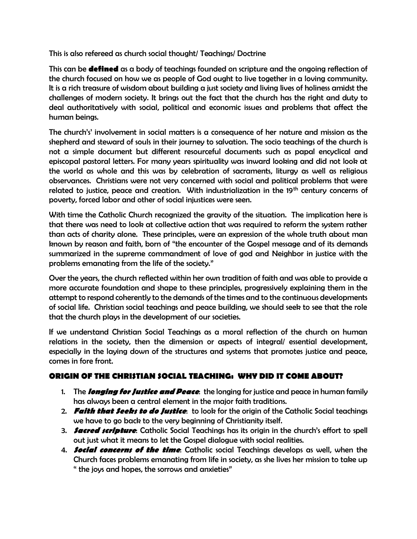This is also refereed as church social thought/ Teachings/ Doctrine

This can be **defined** as a body of teachings founded on scripture and the ongoing reflection of the church focused on how we as people of God ought to live together in a loving community. It is a rich treasure of wisdom about building a just society and living lives of holiness amidst the challenges of modern society. It brings out the fact that the church has the right and duty to deal authoritatively with social, political and economic issues and problems that affect the human beings.

The church's' involvement in social matters is a consequence of her nature and mission as the shepherd and steward of souls in their journey to salvation. The socio teachings of the church is not a simple document but different resourceful documents such as papal encyclical and episcopal pastoral letters. For many years spirituality was inward looking and did not look at the world as whole and this was by celebration of sacraments, liturgy as well as religious observances. Christians were not very concerned with social and political problems that were related to justice, peace and creation. With industrialization in the 19<sup>th</sup> century concerns of poverty, forced labor and other of social injustices were seen.

With time the Catholic Church recognized the gravity of the situation. The implication here is that there was need to look at collective action that was required to reform the system rather than acts of charity alone. These principles, were an expression of the whole truth about man known by reason and faith, born of "the encounter of the Gospel message and of its demands summarized in the supreme commandment of love of god and Neighbor in justice with the problems emanating from the life of the society."

Over the years, the church reflected within her own tradition of faith and was able to provide a more accurate foundation and shape to these principles, progressively explaining them in the attempt to respond coherently to the demands of the times and to the continuous developments of social life. Christian social teachings and peace building, we should seek to see that the role that the church plays in the development of our societies.

If we understand Christian Social Teachings as a moral reflection of the church on human relations in the society, then the dimension or aspects of integral/ essential development, especially in the laying down of the structures and systems that promotes justice and peace, comes in fore front.

# **ORIGIN OF THE CHRISTIAN SOCIAL TEACHING: WHY DID IT COME ABOUT?**

- 1. The **longing for Justice and Peace**: the longing for justice and peace in human family has always been a central element in the major faith traditions.
- 2. **Faith that Seeks to do Justice**: to look for the origin of the Catholic Social teachings we have to go back to the very beginning of Christianity itself.
- 3. **Sacred scripture**: Catholic Social Teachings has its origin in the church's effort to spell out just what it means to let the Gospel dialogue with social realities.
- 4. **Social concerns of the time**: Catholic social Teachings develops as well, when the Church faces problems emanating from life in society, as she lives her mission to take up " the joys and hopes, the sorrows and anxieties"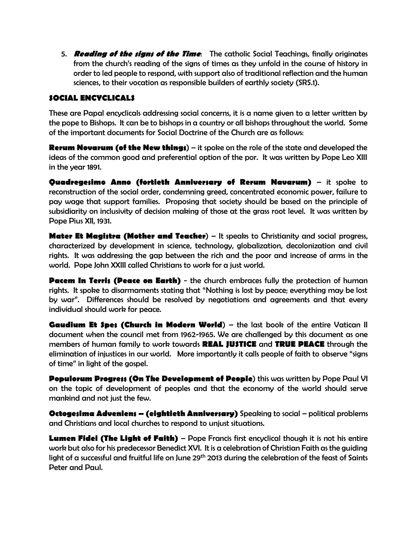5. **Reading of the signs of the Time**: The catholic Social Teachings, finally originates from the church's reading of the signs of times as they unfold in the course of history in order to led people to respond, with support also of traditional reflection and the human sciences, to their vocation as responsible builders of earthly society (SRS.1).

### **SOCIAL ENCYCLICALS**

These are Papal encyclicals addressing social concerns, it is a name given to a letter written by the pope to Bishops. It can be to bishops in a country or all bishops throughout the world. Some of the important documents for Social Doctrine of the Church are as follows:

**Rerum Novarum (of the New things**) – it spoke on the role of the state and developed the ideas of the common good and preferential option of the por. It was written by Pope Leo XIII in the year 1891.

**Quadregesimo Anno (fortieth Anniversary of Rerum Navarum)** – it spoke to reconstruction of the social order, condemning greed, concentrated economic power, failure to pay wage that support families. Proposing that society should be based on the principle of subsidiarity on inclusivity of decision making of those at the grass root level. It was written by Pope Pius XII, 1931.

**Mater Et Magistra (Mother and Teacher**) – It speaks to Christianity and social progress, characterized by development in science, technology, globalization, decolonization and civil rights. It was addressing the gap between the rich and the poor and increase of arms in the world. Pope John XXIII called Christians to work for a just world.

**Pacem In Terris (Peace on Earth)** - the church embraces fully the protection of human rights. It spoke to disarmaments stating that "Nothing is lost by peace; everything may be lost by war". Differences should be resolved by negotiations and agreements and that every individual should work for peace.

**Gaudium Et Spes (Church in Modern World)** – the last book of the entire Vatican II document when the council met from 1962-1965. We are challenged by this document as one members of human family to work towards **REAL JUSTICE** and **TRUE PEACE** through the elimination of injustices in our world. More importantly it calls people of faith to observe "signs of time" in light of the gospel.

**Populorum Progress (On The Development of People**) this was written by Pope Paul VI on the topic of development of peoples and that the economy of the world should serve mankind and not just the few.

**Octogesima Adveniens – (eightieth Anniversary)** Speaking to social – political problems and Christians and local churches to respond to unjust situations.

**Lumen Fidei (The Light of Faith)** – Pope Francis first encyclical though it is not his entire work but also for his predecessor Benedict XVI. It is a celebration of Christian Faith as the guiding light of a successful and fruitful life on June 29th 2013 during the celebration of the feast of Saints Peter and Paul.